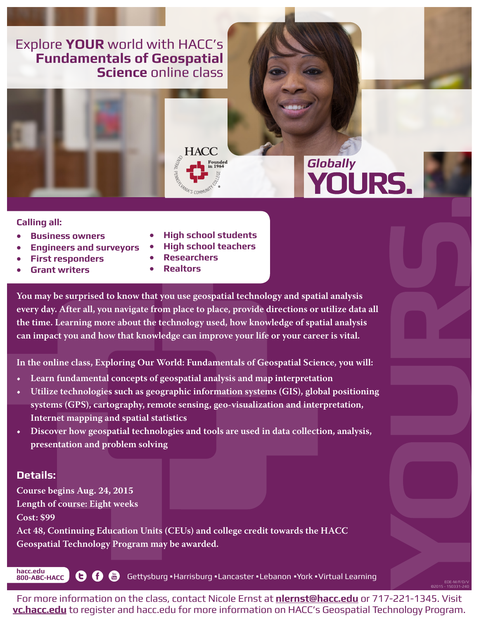## Explore **YOUR** world with HACC's **Fundamentals of Geospatial Science** online class





# **Globally**<br>**YOURS**

©2015 - 150331-240

#### **Calling all:**

- **• Business owners**
- **• Engineers and surveyors**
- **• First responders**
- **• Grant writers**
- **• High school students**
- **• High school teachers**
- **• Researchers**
- **• Realtors**

**You may be surprised to know that you use geospatial technology and spatial analysis every day. After all, you navigate from place to place, provide directions or utilize data all the time. Learning more about the technology used, how knowledge of spatial analysis can impact you and how that knowledge can improve your life or your career is vital.**

**In the online class, Exploring Our World: Fundamentals of Geospatial Science, you will:**

- **• Learn fundamental concepts of geospatial analysis and map interpretation**
- **• Utilize technologies such as geographic information systems (GIS), global positioning systems (GPS), cartography, remote sensing, geo-visualization and interpretation, Internet mapping and spatial statistics**
- **• Discover how geospatial technologies and tools are used in data collection, analysis, presentation and problem solving**

### **Details:**

**hacc.edu**

**Course begins Aug. 24, 2015 Length of course: Eight weeks Cost: \$99**

**Act 48, Continuing Education Units (CEUs) and college credit towards the HACC Geospatial Technology Program may be awarded.**

**8000-ABC-HACCE COEFFICERS** Gettysburg · Harrisburg · Lancaster · Lebanon · York · Virtual Learning

For more information on the class, contact Nicole Ernst at **nlernst@hacc.edu** or 717-221-1345. Visit **vc.hacc.edu** to register and hacc.edu for more information on HACC's Geospatial Technology Program.